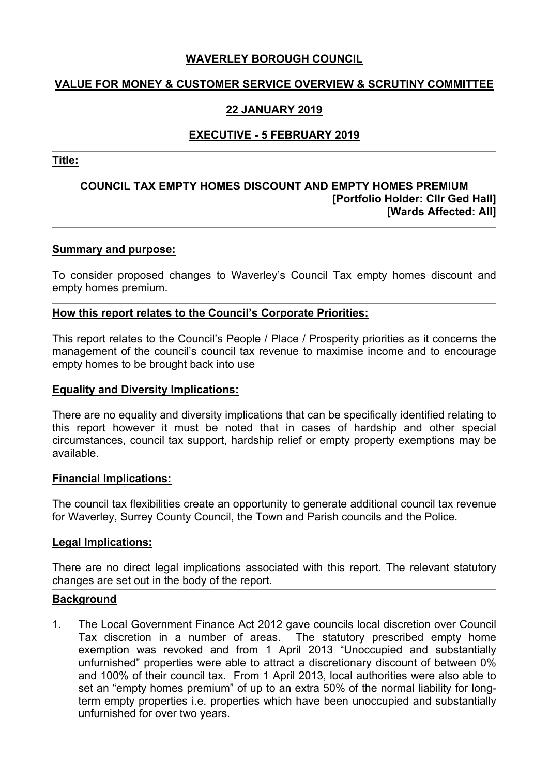# **WAVERLEY BOROUGH COUNCIL**

# **VALUE FOR MONEY & CUSTOMER SERVICE OVERVIEW & SCRUTINY COMMITTEE**

# **22 JANUARY 2019**

# **EXECUTIVE - 5 FEBRUARY 2019**

**Title:**

## **COUNCIL TAX EMPTY HOMES DISCOUNT AND EMPTY HOMES PREMIUM [Portfolio Holder: Cllr Ged Hall] [Wards Affected: All]**

#### **Summary and purpose:**

To consider proposed changes to Waverley's Council Tax empty homes discount and empty homes premium.

### **How this report relates to the Council's Corporate Priorities:**

This report relates to the Council's People / Place / Prosperity priorities as it concerns the management of the council's council tax revenue to maximise income and to encourage empty homes to be brought back into use

#### **Equality and Diversity Implications:**

There are no equality and diversity implications that can be specifically identified relating to this report however it must be noted that in cases of hardship and other special circumstances, council tax support, hardship relief or empty property exemptions may be available.

#### **Financial Implications:**

The council tax flexibilities create an opportunity to generate additional council tax revenue for Waverley, Surrey County Council, the Town and Parish councils and the Police*.*

#### **Legal Implications:**

There are no direct legal implications associated with this report. The relevant statutory changes are set out in the body of the report.

#### **Background**

1. The Local Government Finance Act 2012 gave councils local discretion over Council Tax discretion in a number of areas. The statutory prescribed empty home exemption was revoked and from 1 April 2013 "Unoccupied and substantially unfurnished" properties were able to attract a discretionary discount of between 0% and 100% of their council tax. From 1 April 2013, local authorities were also able to set an "empty homes premium" of up to an extra 50% of the normal liability for longterm empty properties i.e. properties which have been unoccupied and substantially unfurnished for over two years.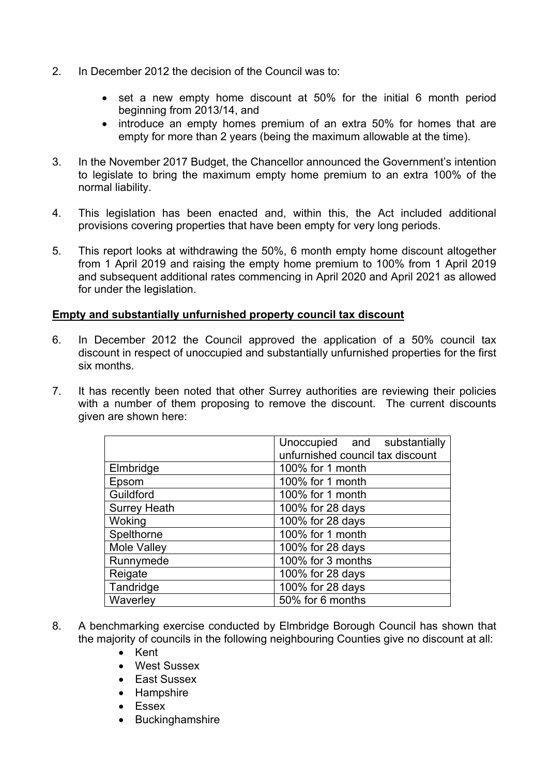- 2. In December 2012 the decision of the Council was to:
	- set a new empty home discount at 50% for the initial 6 month period beginning from 2013/14, and
	- introduce an empty homes premium of an extra 50% for homes that are empty for more than 2 years (being the maximum allowable at the time).
- 3. In the November 2017 Budget, the Chancellor announced the Government's intention to legislate to bring the maximum empty home premium to an extra 100% of the normal liability.
- 4. This legislation has been enacted and, within this, the Act included additional provisions covering properties that have been empty for very long periods.
- 5. This report looks at withdrawing the 50%, 6 month empty home discount altogether from 1 April 2019 and raising the empty home premium to 100% from 1 April 2019 and subsequent additional rates commencing in April 2020 and April 2021 as allowed for under the legislation.

# **Empty and substantially unfurnished property council tax discount**

- 6. In December 2012 the Council approved the application of a 50% council tax discount in respect of unoccupied and substantially unfurnished properties for the first six months.
- 7. It has recently been noted that other Surrey authorities are reviewing their policies with a number of them proposing to remove the discount. The current discounts given are shown here:

|                     | Unoccupied and substantially<br>unfurnished council tax discount |
|---------------------|------------------------------------------------------------------|
| Elmbridge           | 100% for 1 month                                                 |
| Epsom               | 100% for 1 month                                                 |
| Guildford           | 100% for 1 month                                                 |
| <b>Surrey Heath</b> | 100% for 28 days                                                 |
| Woking              | 100% for 28 days                                                 |
| Spelthorne          | 100% for 1 month                                                 |
| Mole Valley         | 100% for 28 days                                                 |
| Runnymede           | 100% for 3 months                                                |
| Reigate             | 100% for 28 days                                                 |
| Tandridge           | 100% for 28 days                                                 |
| Waverley            | 50% for 6 months                                                 |

- 8. A benchmarking exercise conducted by Elmbridge Borough Council has shown that the majority of councils in the following neighbouring Counties give no discount at all:
	- Kent
	- West Sussex
	- East Sussex
	- Hampshire
	- Essex
	- Buckinghamshire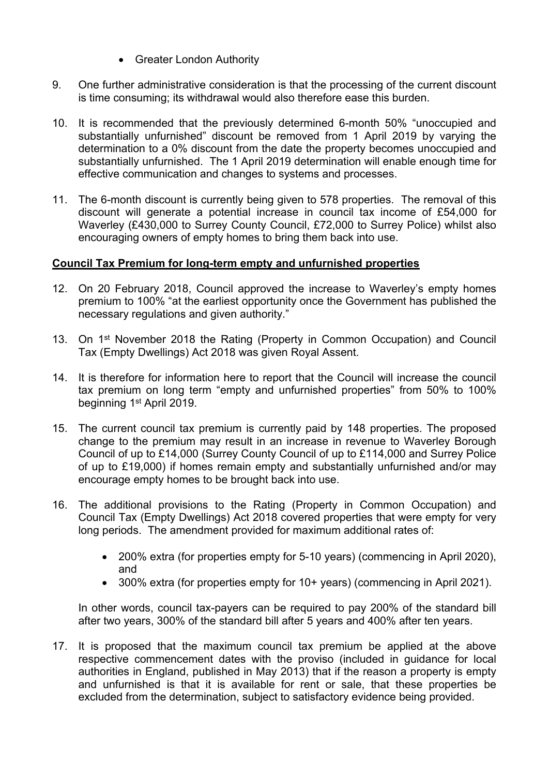- Greater London Authority
- 9. One further administrative consideration is that the processing of the current discount is time consuming; its withdrawal would also therefore ease this burden.
- 10. It is recommended that the previously determined 6-month 50% "unoccupied and substantially unfurnished" discount be removed from 1 April 2019 by varying the determination to a 0% discount from the date the property becomes unoccupied and substantially unfurnished. The 1 April 2019 determination will enable enough time for effective communication and changes to systems and processes.
- 11. The 6-month discount is currently being given to 578 properties. The removal of this discount will generate a potential increase in council tax income of £54,000 for Waverley (£430,000 to Surrey County Council, £72,000 to Surrey Police) whilst also encouraging owners of empty homes to bring them back into use.

## **Council Tax Premium for long-term empty and unfurnished properties**

- 12. On 20 February 2018, Council approved the increase to Waverley's empty homes premium to 100% "at the earliest opportunity once the Government has published the necessary regulations and given authority."
- 13. On 1<sup>st</sup> November 2018 the Rating (Property in Common Occupation) and Council Tax (Empty Dwellings) Act 2018 was given Royal Assent.
- 14. It is therefore for information here to report that the Council will increase the council tax premium on long term "empty and unfurnished properties" from 50% to 100% beginning 1<sup>st</sup> April 2019.
- 15. The current council tax premium is currently paid by 148 properties. The proposed change to the premium may result in an increase in revenue to Waverley Borough Council of up to £14,000 (Surrey County Council of up to £114,000 and Surrey Police of up to £19,000) if homes remain empty and substantially unfurnished and/or may encourage empty homes to be brought back into use.
- 16. The additional provisions to the Rating (Property in Common Occupation) and Council Tax (Empty Dwellings) Act 2018 covered properties that were empty for very long periods. The amendment provided for maximum additional rates of:
	- 200% extra (for properties empty for 5-10 years) (commencing in April 2020), and
	- 300% extra (for properties empty for 10+ years) (commencing in April 2021).

In other words, council tax-payers can be required to pay 200% of the standard bill after two years, 300% of the standard bill after 5 years and 400% after ten years.

17. It is proposed that the maximum council tax premium be applied at the above respective commencement dates with the proviso (included in guidance for local authorities in England, published in May 2013) that if the reason a property is empty and unfurnished is that it is available for rent or sale, that these properties be excluded from the determination, subject to satisfactory evidence being provided.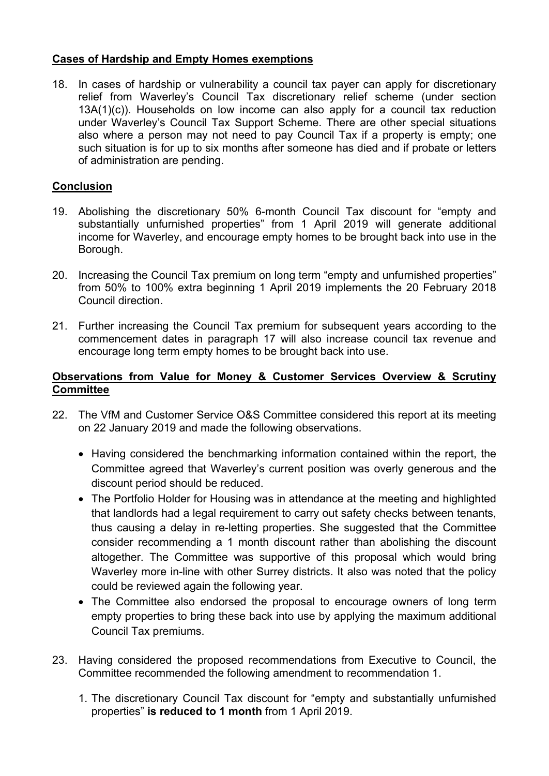# **Cases of Hardship and Empty Homes exemptions**

18. In cases of hardship or vulnerability a council tax payer can apply for discretionary relief from Waverley's Council Tax discretionary relief scheme (under section 13A(1)(c)). Households on low income can also apply for a council tax reduction under Waverley's Council Tax Support Scheme. There are other special situations also where a person may not need to pay Council Tax if a property is empty; one such situation is for up to six months after someone has died and if probate or letters of administration are pending.

# **Conclusion**

- 19. Abolishing the discretionary 50% 6-month Council Tax discount for "empty and substantially unfurnished properties" from 1 April 2019 will generate additional income for Waverley, and encourage empty homes to be brought back into use in the Borough.
- 20. Increasing the Council Tax premium on long term "empty and unfurnished properties" from 50% to 100% extra beginning 1 April 2019 implements the 20 February 2018 Council direction.
- 21. Further increasing the Council Tax premium for subsequent years according to the commencement dates in paragraph 17 will also increase council tax revenue and encourage long term empty homes to be brought back into use.

# **Observations from Value for Money & Customer Services Overview & Scrutiny Committee**

- 22. The VfM and Customer Service O&S Committee considered this report at its meeting on 22 January 2019 and made the following observations.
	- Having considered the benchmarking information contained within the report, the Committee agreed that Waverley's current position was overly generous and the discount period should be reduced.
	- The Portfolio Holder for Housing was in attendance at the meeting and highlighted that landlords had a legal requirement to carry out safety checks between tenants, thus causing a delay in re-letting properties. She suggested that the Committee consider recommending a 1 month discount rather than abolishing the discount altogether. The Committee was supportive of this proposal which would bring Waverley more in-line with other Surrey districts. It also was noted that the policy could be reviewed again the following year.
	- The Committee also endorsed the proposal to encourage owners of long term empty properties to bring these back into use by applying the maximum additional Council Tax premiums.
- 23. Having considered the proposed recommendations from Executive to Council, the Committee recommended the following amendment to recommendation 1.
	- 1. The discretionary Council Tax discount for "empty and substantially unfurnished properties" **is reduced to 1 month** from 1 April 2019.